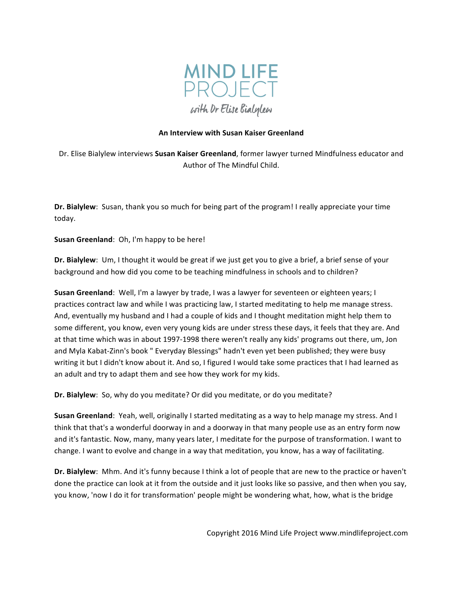

# **An Interview with Susan Kaiser Greenland**

Dr. Elise Bialylew interviews **Susan Kaiser Greenland**, former lawyer turned Mindfulness educator and Author of The Mindful Child.

**Dr. Bialylew**: Susan, thank you so much for being part of the program! I really appreciate your time today.

**Susan Greenland:** Oh, I'm happy to be here!

**Dr. Bialylew**: Um, I thought it would be great if we just get you to give a brief, a brief sense of your background and how did you come to be teaching mindfulness in schools and to children?

**Susan Greenland:** Well, I'm a lawyer by trade, I was a lawyer for seventeen or eighteen years; I practices contract law and while I was practicing law, I started meditating to help me manage stress. And, eventually my husband and I had a couple of kids and I thought meditation might help them to some different, you know, even very young kids are under stress these days, it feels that they are. And at that time which was in about 1997-1998 there weren't really any kids' programs out there, um, Jon and Myla Kabat-Zinn's book " Everyday Blessings" hadn't even yet been published; they were busy writing it but I didn't know about it. And so, I figured I would take some practices that I had learned as an adult and try to adapt them and see how they work for my kids.

**Dr. Bialylew**: So, why do you meditate? Or did you meditate, or do you meditate?

**Susan Greenland**: Yeah, well, originally I started meditating as a way to help manage my stress. And I think that that's a wonderful doorway in and a doorway in that many people use as an entry form now and it's fantastic. Now, many, many years later, I meditate for the purpose of transformation. I want to change. I want to evolve and change in a way that meditation, you know, has a way of facilitating.

**Dr. Bialylew**: Mhm. And it's funny because I think a lot of people that are new to the practice or haven't done the practice can look at it from the outside and it just looks like so passive, and then when you say, you know, 'now I do it for transformation' people might be wondering what, how, what is the bridge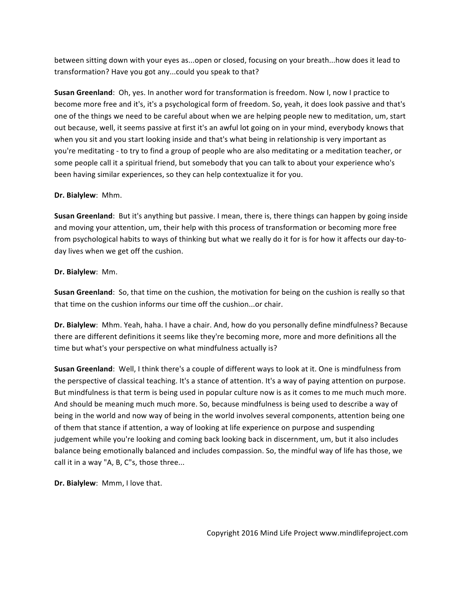between sitting down with your eyes as...open or closed, focusing on your breath...how does it lead to transformation? Have you got any...could you speak to that?

**Susan Greenland**: Oh, yes. In another word for transformation is freedom. Now I, now I practice to become more free and it's, it's a psychological form of freedom. So, yeah, it does look passive and that's one of the things we need to be careful about when we are helping people new to meditation, um, start out because, well, it seems passive at first it's an awful lot going on in your mind, everybody knows that when you sit and you start looking inside and that's what being in relationship is very important as you're meditating - to try to find a group of people who are also meditating or a meditation teacher, or some people call it a spiritual friend, but somebody that you can talk to about your experience who's been having similar experiences, so they can help contextualize it for you.

#### **Dr.** Bialylew: Mhm.

**Susan Greenland**: But it's anything but passive. I mean, there is, there things can happen by going inside and moving your attention, um, their help with this process of transformation or becoming more free from psychological habits to ways of thinking but what we really do it for is for how it affects our day-today lives when we get off the cushion.

#### **Dr.** Bialylew: Mm.

**Susan Greenland:** So, that time on the cushion, the motivation for being on the cushion is really so that that time on the cushion informs our time off the cushion...or chair.

**Dr. Bialylew**: Mhm. Yeah, haha. I have a chair. And, how do you personally define mindfulness? Because there are different definitions it seems like they're becoming more, more and more definitions all the time but what's your perspective on what mindfulness actually is?

**Susan Greenland:** Well, I think there's a couple of different ways to look at it. One is mindfulness from the perspective of classical teaching. It's a stance of attention. It's a way of paying attention on purpose. But mindfulness is that term is being used in popular culture now is as it comes to me much much more. And should be meaning much much more. So, because mindfulness is being used to describe a way of being in the world and now way of being in the world involves several components, attention being one of them that stance if attention, a way of looking at life experience on purpose and suspending judgement while you're looking and coming back looking back in discernment, um, but it also includes balance being emotionally balanced and includes compassion. So, the mindful way of life has those, we call it in a way "A, B, C"s, those three...

**Dr. Bialylew:** Mmm, I love that.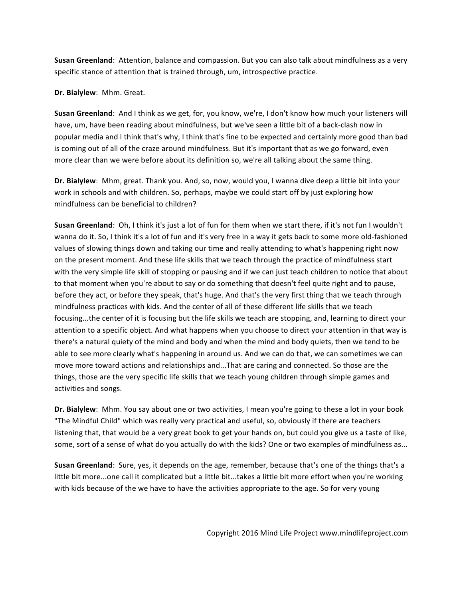**Susan Greenland**: Attention, balance and compassion. But you can also talk about mindfulness as a very specific stance of attention that is trained through, um, introspective practice.

**Dr. Bialylew: Mhm. Great.** 

**Susan Greenland**: And I think as we get, for, you know, we're, I don't know how much your listeners will have, um, have been reading about mindfulness, but we've seen a little bit of a back-clash now in popular media and I think that's why, I think that's fine to be expected and certainly more good than bad is coming out of all of the craze around mindfulness. But it's important that as we go forward, even more clear than we were before about its definition so, we're all talking about the same thing.

**Dr. Bialylew**: Mhm, great. Thank you. And, so, now, would you, I wanna dive deep a little bit into your work in schools and with children. So, perhaps, maybe we could start off by just exploring how mindfulness can be beneficial to children?

**Susan Greenland**: Oh, I think it's just a lot of fun for them when we start there, if it's not fun I wouldn't wanna do it. So, I think it's a lot of fun and it's very free in a way it gets back to some more old-fashioned values of slowing things down and taking our time and really attending to what's happening right now on the present moment. And these life skills that we teach through the practice of mindfulness start with the very simple life skill of stopping or pausing and if we can just teach children to notice that about to that moment when you're about to say or do something that doesn't feel quite right and to pause, before they act, or before they speak, that's huge. And that's the very first thing that we teach through mindfulness practices with kids. And the center of all of these different life skills that we teach focusing...the center of it is focusing but the life skills we teach are stopping, and, learning to direct your attention to a specific object. And what happens when you choose to direct your attention in that way is there's a natural quiety of the mind and body and when the mind and body quiets, then we tend to be able to see more clearly what's happening in around us. And we can do that, we can sometimes we can move more toward actions and relationships and...That are caring and connected. So those are the things, those are the very specific life skills that we teach young children through simple games and activities and songs.

**Dr. Bialylew**: Mhm. You say about one or two activities, I mean you're going to these a lot in your book "The Mindful Child" which was really very practical and useful, so, obviously if there are teachers listening that, that would be a very great book to get your hands on, but could you give us a taste of like, some, sort of a sense of what do you actually do with the kids? One or two examples of mindfulness as...

**Susan Greenland**: Sure, yes, it depends on the age, remember, because that's one of the things that's a little bit more...one call it complicated but a little bit...takes a little bit more effort when you're working with kids because of the we have to have the activities appropriate to the age. So for very young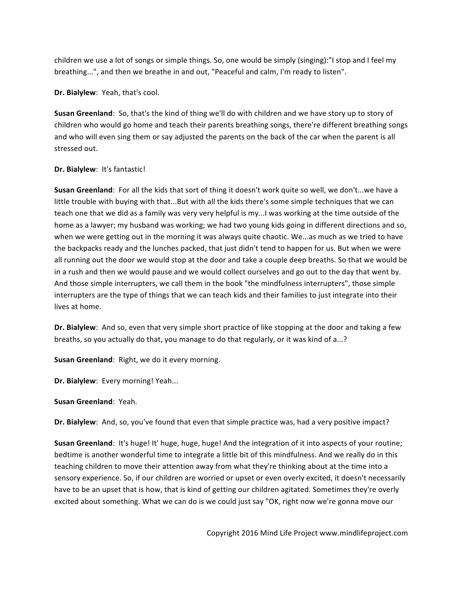children we use a lot of songs or simple things. So, one would be simply (singing):"I stop and I feel my breathing...", and then we breathe in and out, "Peaceful and calm, I'm ready to listen".

**Dr. Bialylew**: Yeah, that's cool.

**Susan Greenland**: So, that's the kind of thing we'll do with children and we have story up to story of children who would go home and teach their parents breathing songs, there're different breathing songs and who will even sing them or say adjusted the parents on the back of the car when the parent is all stressed out.

# **Dr. Bialylew:** It's fantastic!

**Susan Greenland**: For all the kids that sort of thing it doesn't work quite so well, we don't...we have a little trouble with buying with that...But with all the kids there's some simple techniques that we can teach one that we did as a family was very very helpful is my...I was working at the time outside of the home as a lawyer; my husband was working; we had two young kids going in different directions and so, when we were getting out in the morning it was always quite chaotic. We...as much as we tried to have the backpacks ready and the lunches packed, that just didn't tend to happen for us. But when we were all running out the door we would stop at the door and take a couple deep breaths. So that we would be in a rush and then we would pause and we would collect ourselves and go out to the day that went by. And those simple interrupters, we call them in the book "the mindfulness interrupters", those simple interrupters are the type of things that we can teach kids and their families to just integrate into their lives at home.

**Dr. Bialylew**: And so, even that very simple short practice of like stopping at the door and taking a few breaths, so you actually do that, you manage to do that regularly, or it was kind of a...?

**Susan Greenland:** Right, we do it every morning.

**Dr. Bialylew**: Every morning! Yeah...

**Susan Greenland**: Yeah.

**Dr. Bialylew**: And, so, you've found that even that simple practice was, had a very positive impact?

**Susan Greenland:** It's huge! It' huge, huge, huge! And the integration of it into aspects of your routine; bedtime is another wonderful time to integrate a little bit of this mindfulness. And we really do in this teaching children to move their attention away from what they're thinking about at the time into a sensory experience. So, if our children are worried or upset or even overly excited, it doesn't necessarily have to be an upset that is how, that is kind of getting our children agitated. Sometimes they're overly excited about something. What we can do is we could just say "OK, right now we're gonna move our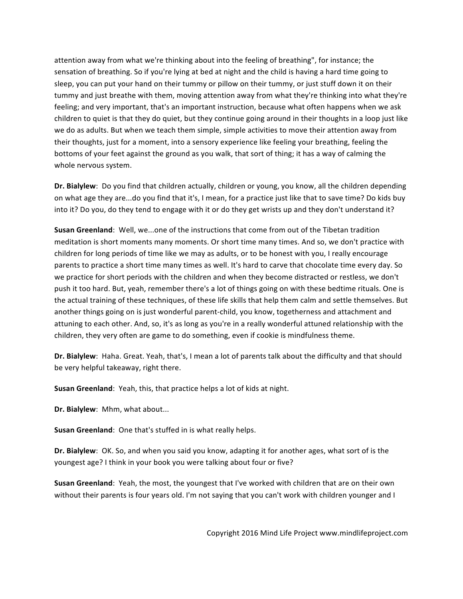attention away from what we're thinking about into the feeling of breathing", for instance; the sensation of breathing. So if you're lying at bed at night and the child is having a hard time going to sleep, you can put your hand on their tummy or pillow on their tummy, or just stuff down it on their tummy and just breathe with them, moving attention away from what they're thinking into what they're feeling; and very important, that's an important instruction, because what often happens when we ask children to quiet is that they do quiet, but they continue going around in their thoughts in a loop just like we do as adults. But when we teach them simple, simple activities to move their attention away from their thoughts, just for a moment, into a sensory experience like feeling your breathing, feeling the bottoms of your feet against the ground as you walk, that sort of thing; it has a way of calming the whole nervous system. 

**Dr. Bialylew**: Do you find that children actually, children or young, you know, all the children depending on what age they are...do you find that it's, I mean, for a practice just like that to save time? Do kids buy into it? Do you, do they tend to engage with it or do they get wrists up and they don't understand it?

**Susan Greenland:** Well, we...one of the instructions that come from out of the Tibetan tradition meditation is short moments many moments. Or short time many times. And so, we don't practice with children for long periods of time like we may as adults, or to be honest with you, I really encourage parents to practice a short time many times as well. It's hard to carve that chocolate time every day. So we practice for short periods with the children and when they become distracted or restless, we don't push it too hard. But, yeah, remember there's a lot of things going on with these bedtime rituals. One is the actual training of these techniques, of these life skills that help them calm and settle themselves. But another things going on is just wonderful parent-child, you know, togetherness and attachment and attuning to each other. And, so, it's as long as you're in a really wonderful attuned relationship with the children, they very often are game to do something, even if cookie is mindfulness theme. 

**Dr. Bialylew**: Haha. Great. Yeah, that's, I mean a lot of parents talk about the difficulty and that should be very helpful takeaway, right there.

**Susan Greenland**: Yeah, this, that practice helps a lot of kids at night.

**Dr. Bialylew:** Mhm, what about...

**Susan Greenland:** One that's stuffed in is what really helps.

**Dr. Bialylew**: OK. So, and when you said you know, adapting it for another ages, what sort of is the youngest age? I think in your book you were talking about four or five?

**Susan Greenland**: Yeah, the most, the youngest that I've worked with children that are on their own without their parents is four years old. I'm not saying that you can't work with children younger and I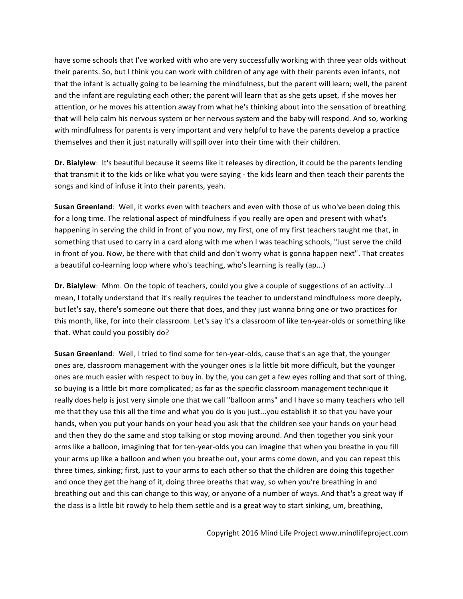have some schools that I've worked with who are very successfully working with three year olds without their parents. So, but I think you can work with children of any age with their parents even infants, not that the infant is actually going to be learning the mindfulness, but the parent will learn; well, the parent and the infant are regulating each other; the parent will learn that as she gets upset, if she moves her attention, or he moves his attention away from what he's thinking about into the sensation of breathing that will help calm his nervous system or her nervous system and the baby will respond. And so, working with mindfulness for parents is very important and very helpful to have the parents develop a practice themselves and then it just naturally will spill over into their time with their children.

**Dr. Bialylew**: It's beautiful because it seems like it releases by direction, it could be the parents lending that transmit it to the kids or like what you were saying - the kids learn and then teach their parents the songs and kind of infuse it into their parents, yeah.

**Susan Greenland:** Well, it works even with teachers and even with those of us who've been doing this for a long time. The relational aspect of mindfulness if you really are open and present with what's happening in serving the child in front of you now, my first, one of my first teachers taught me that, in something that used to carry in a card along with me when I was teaching schools, "Just serve the child in front of you. Now, be there with that child and don't worry what is gonna happen next". That creates a beautiful co-learning loop where who's teaching, who's learning is really (ap...)

**Dr. Bialylew**: Mhm. On the topic of teachers, could you give a couple of suggestions of an activity...I mean, I totally understand that it's really requires the teacher to understand mindfulness more deeply, but let's say, there's someone out there that does, and they just wanna bring one or two practices for this month, like, for into their classroom. Let's say it's a classroom of like ten-year-olds or something like that. What could you possibly do?

**Susan Greenland:** Well, I tried to find some for ten-year-olds, cause that's an age that, the younger ones are, classroom management with the younger ones is la little bit more difficult, but the younger ones are much easier with respect to buy in. by the, you can get a few eyes rolling and that sort of thing, so buying is a little bit more complicated; as far as the specific classroom management technique it really does help is just very simple one that we call "balloon arms" and I have so many teachers who tell me that they use this all the time and what you do is you just...you establish it so that you have your hands, when you put your hands on your head you ask that the children see your hands on your head and then they do the same and stop talking or stop moving around. And then together you sink your arms like a balloon, imagining that for ten-year-olds you can imagine that when you breathe in you fill your arms up like a balloon and when you breathe out, your arms come down, and you can repeat this three times, sinking; first, just to your arms to each other so that the children are doing this together and once they get the hang of it, doing three breaths that way, so when you're breathing in and breathing out and this can change to this way, or anyone of a number of ways. And that's a great way if the class is a little bit rowdy to help them settle and is a great way to start sinking, um, breathing,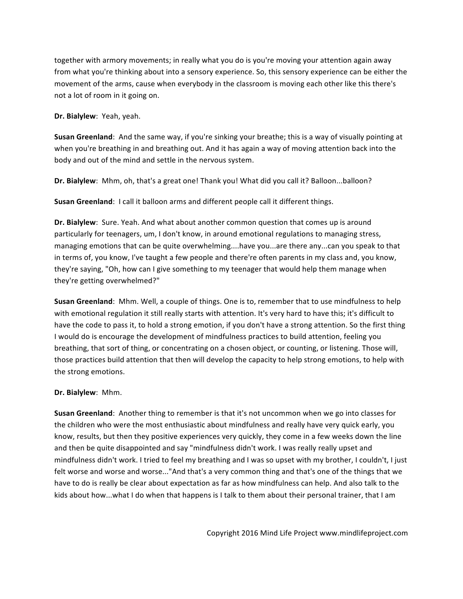together with armory movements; in really what you do is you're moving your attention again away from what you're thinking about into a sensory experience. So, this sensory experience can be either the movement of the arms, cause when everybody in the classroom is moving each other like this there's not a lot of room in it going on.

**Dr. Bialylew**: Yeah, yeah.

**Susan Greenland**: And the same way, if you're sinking your breathe; this is a way of visually pointing at when you're breathing in and breathing out. And it has again a way of moving attention back into the body and out of the mind and settle in the nervous system.

**Dr. Bialylew**: Mhm, oh, that's a great one! Thank you! What did you call it? Balloon...balloon?

**Susan Greenland**: I call it balloon arms and different people call it different things.

**Dr. Bialylew**: Sure. Yeah. And what about another common question that comes up is around particularly for teenagers, um, I don't know, in around emotional regulations to managing stress, managing emotions that can be quite overwhelming....have you...are there any...can you speak to that in terms of, you know, I've taught a few people and there're often parents in my class and, you know, they're saying, "Oh, how can I give something to my teenager that would help them manage when they're getting overwhelmed?"

**Susan Greenland:** Mhm. Well, a couple of things. One is to, remember that to use mindfulness to help with emotional regulation it still really starts with attention. It's very hard to have this; it's difficult to have the code to pass it, to hold a strong emotion, if you don't have a strong attention. So the first thing I would do is encourage the development of mindfulness practices to build attention, feeling you breathing, that sort of thing, or concentrating on a chosen object, or counting, or listening. Those will, those practices build attention that then will develop the capacity to help strong emotions, to help with the strong emotions.

#### **Dr. Bialylew**: Mhm.

**Susan Greenland**: Another thing to remember is that it's not uncommon when we go into classes for the children who were the most enthusiastic about mindfulness and really have very quick early, you know, results, but then they positive experiences very quickly, they come in a few weeks down the line and then be quite disappointed and say "mindfulness didn't work. I was really really upset and mindfulness didn't work. I tried to feel my breathing and I was so upset with my brother, I couldn't, I just felt worse and worse and worse..."And that's a very common thing and that's one of the things that we have to do is really be clear about expectation as far as how mindfulness can help. And also talk to the kids about how...what I do when that happens is I talk to them about their personal trainer, that I am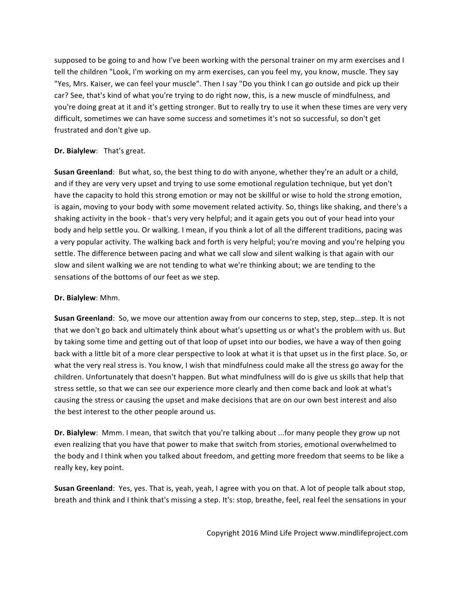supposed to be going to and how I've been working with the personal trainer on my arm exercises and I tell the children "Look, I'm working on my arm exercises, can you feel my, you know, muscle. They say "Yes, Mrs. Kaiser, we can feel your muscle". Then I say "Do you think I can go outside and pick up their car? See, that's kind of what you're trying to do right now, this, is a new muscle of mindfulness, and you're doing great at it and it's getting stronger. But to really try to use it when these times are very very difficult, sometimes we can have some success and sometimes it's not so successful, so don't get frustrated and don't give up.

# **Dr.** Bialylew: That's great.

**Susan Greenland**: But what, so, the best thing to do with anyone, whether they're an adult or a child, and if they are very very upset and trying to use some emotional regulation technique, but yet don't have the capacity to hold this strong emotion or may not be skillful or wise to hold the strong emotion, is again, moving to your body with some movement related activity. So, things like shaking, and there's a shaking activity in the book - that's very very helpful; and it again gets you out of your head into your body and help settle you. Or walking. I mean, if you think a lot of all the different traditions, pacing was a very popular activity. The walking back and forth is very helpful; you're moving and you're helping you settle. The difference between pacing and what we call slow and silent walking is that again with our slow and silent walking we are not tending to what we're thinking about; we are tending to the sensations of the bottoms of our feet as we step.

# **Dr. Bialylew**: Mhm.

**Susan Greenland**: So, we move our attention away from our concerns to step, step, step...step. It is not that we don't go back and ultimately think about what's upsetting us or what's the problem with us. But by taking some time and getting out of that loop of upset into our bodies, we have a way of then going back with a little bit of a more clear perspective to look at what it is that upset us in the first place. So, or what the very real stress is. You know, I wish that mindfulness could make all the stress go away for the children. Unfortunately that doesn't happen. But what mindfulness will do is give us skills that help that stress settle, so that we can see our experience more clearly and then come back and look at what's causing the stress or causing the upset and make decisions that are on our own best interest and also the best interest to the other people around us.

**Dr. Bialylew**: Mmm. I mean, that switch that you're talking about ...for many people they grow up not even realizing that you have that power to make that switch from stories, emotional overwhelmed to the body and I think when you talked about freedom, and getting more freedom that seems to be like a really key, key point.

**Susan Greenland**: Yes, yes. That is, yeah, yeah, I agree with you on that. A lot of people talk about stop, breath and think and I think that's missing a step. It's: stop, breathe, feel, real feel the sensations in your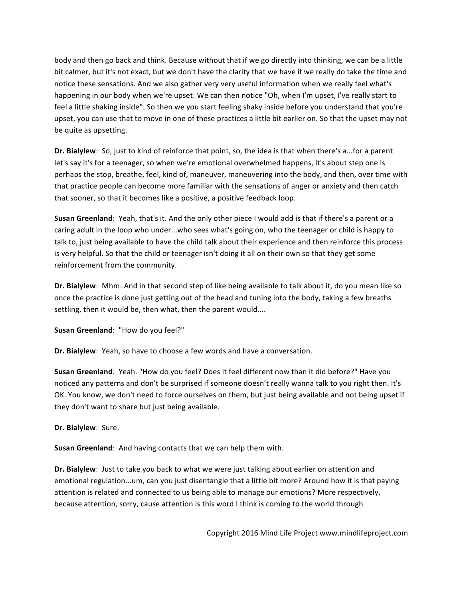body and then go back and think. Because without that if we go directly into thinking, we can be a little bit calmer, but it's not exact, but we don't have the clarity that we have if we really do take the time and notice these sensations. And we also gather very very useful information when we really feel what's happening in our body when we're upset. We can then notice "Oh, when I'm upset, I've really start to feel a little shaking inside". So then we you start feeling shaky inside before you understand that you're upset, you can use that to move in one of these practices a little bit earlier on. So that the upset may not be quite as upsetting.

**Dr. Bialylew**: So, just to kind of reinforce that point, so, the idea is that when there's a...for a parent let's say it's for a teenager, so when we're emotional overwhelmed happens, it's about step one is perhaps the stop, breathe, feel, kind of, maneuver, maneuvering into the body, and then, over time with that practice people can become more familiar with the sensations of anger or anxiety and then catch that sooner, so that it becomes like a positive, a positive feedback loop.

**Susan Greenland**: Yeah, that's it. And the only other piece I would add is that if there's a parent or a caring adult in the loop who under...who sees what's going on, who the teenager or child is happy to talk to, just being available to have the child talk about their experience and then reinforce this process is very helpful. So that the child or teenager isn't doing it all on their own so that they get some reinforcement from the community.

**Dr. Bialylew**: Mhm. And in that second step of like being available to talk about it, do you mean like so once the practice is done just getting out of the head and tuning into the body, taking a few breaths settling, then it would be, then what, then the parent would....

**Susan Greenland**: "How do you feel?"

**Dr. Bialylew**: Yeah, so have to choose a few words and have a conversation.

**Susan Greenland**: Yeah. "How do you feel? Does it feel different now than it did before?" Have you noticed any patterns and don't be surprised if someone doesn't really wanna talk to you right then. It's OK. You know, we don't need to force ourselves on them, but just being available and not being upset if they don't want to share but just being available.

**Dr.** Bialylew: Sure.

**Susan Greenland:** And having contacts that we can help them with.

**Dr. Bialylew**: Just to take you back to what we were just talking about earlier on attention and emotional regulation...um, can you just disentangle that a little bit more? Around how it is that paying attention is related and connected to us being able to manage our emotions? More respectively, because attention, sorry, cause attention is this word I think is coming to the world through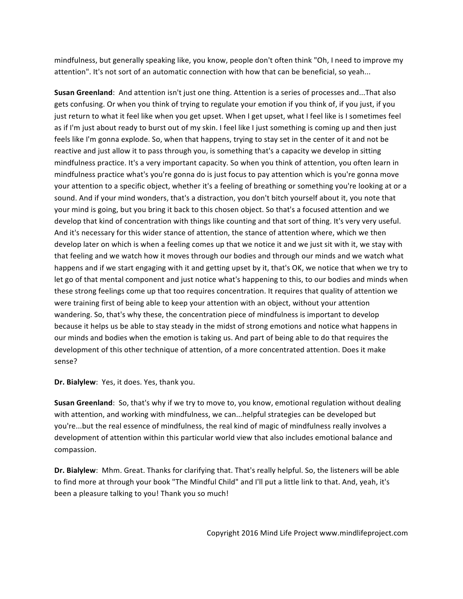mindfulness, but generally speaking like, you know, people don't often think "Oh, I need to improve my attention". It's not sort of an automatic connection with how that can be beneficial, so yeah...

**Susan Greenland**: And attention isn't just one thing. Attention is a series of processes and...That also gets confusing. Or when you think of trying to regulate your emotion if you think of, if you just, if you just return to what it feel like when you get upset. When I get upset, what I feel like is I sometimes feel as if I'm just about ready to burst out of my skin. I feel like I just something is coming up and then just feels like I'm gonna explode. So, when that happens, trying to stay set in the center of it and not be reactive and just allow it to pass through you, is something that's a capacity we develop in sitting mindfulness practice. It's a very important capacity. So when you think of attention, you often learn in mindfulness practice what's you're gonna do is just focus to pay attention which is you're gonna move your attention to a specific object, whether it's a feeling of breathing or something you're looking at or a sound. And if your mind wonders, that's a distraction, you don't bitch yourself about it, you note that your mind is going, but you bring it back to this chosen object. So that's a focused attention and we develop that kind of concentration with things like counting and that sort of thing. It's very very useful. And it's necessary for this wider stance of attention, the stance of attention where, which we then develop later on which is when a feeling comes up that we notice it and we just sit with it, we stay with that feeling and we watch how it moves through our bodies and through our minds and we watch what happens and if we start engaging with it and getting upset by it, that's OK, we notice that when we try to let go of that mental component and just notice what's happening to this, to our bodies and minds when these strong feelings come up that too requires concentration. It requires that quality of attention we were training first of being able to keep your attention with an object, without your attention wandering. So, that's why these, the concentration piece of mindfulness is important to develop because it helps us be able to stay steady in the midst of strong emotions and notice what happens in our minds and bodies when the emotion is taking us. And part of being able to do that requires the development of this other technique of attention, of a more concentrated attention. Does it make sense?

**Dr. Bialylew**: Yes, it does. Yes, thank you.

**Susan Greenland**: So, that's why if we try to move to, you know, emotional regulation without dealing with attention, and working with mindfulness, we can...helpful strategies can be developed but you're...but the real essence of mindfulness, the real kind of magic of mindfulness really involves a development of attention within this particular world view that also includes emotional balance and compassion.

**Dr. Bialylew**: Mhm. Great. Thanks for clarifying that. That's really helpful. So, the listeners will be able to find more at through your book "The Mindful Child" and I'll put a little link to that. And, yeah, it's been a pleasure talking to you! Thank you so much!